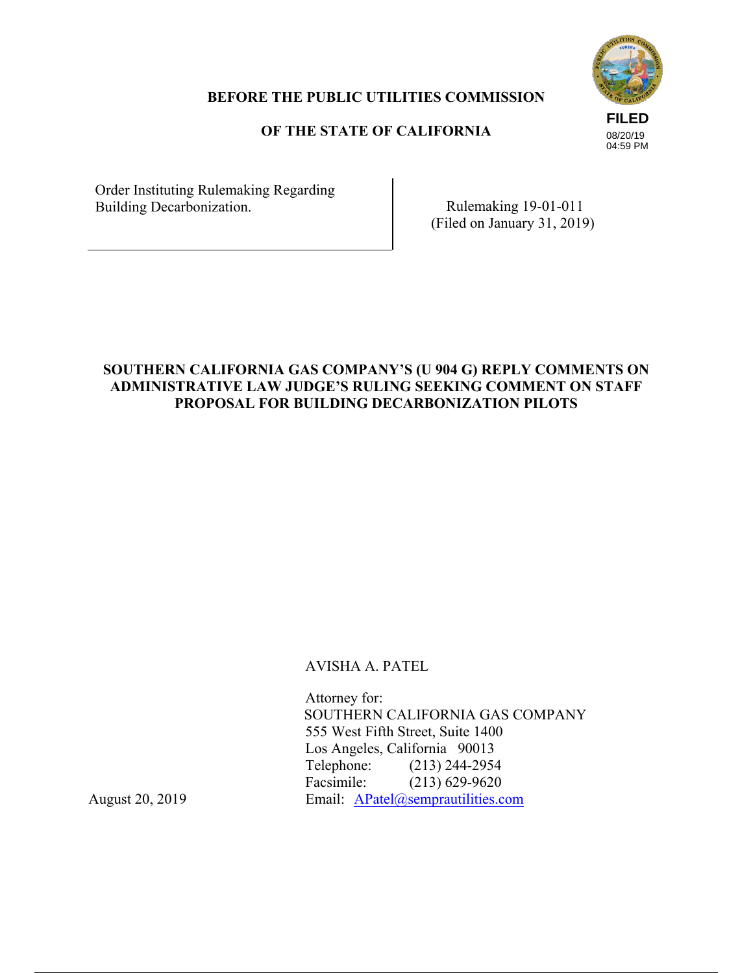# **FILED** 08/20/19 04:59 PM

## **BEFORE THE PUBLIC UTILITIES COMMISSION**

# **OF THE STATE OF CALIFORNIA**

Order Instituting Rulemaking Regarding Building Decarbonization. Rulemaking 19-01-011

(Filed on January 31, 2019)

# **SOUTHERN CALIFORNIA GAS COMPANY'S (U 904 G) REPLY COMMENTS ON ADMINISTRATIVE LAW JUDGE'S RULING SEEKING COMMENT ON STAFF PROPOSAL FOR BUILDING DECARBONIZATION PILOTS**

AVISHA A. PATEL

Attorney for: SOUTHERN CALIFORNIA GAS COMPANY 555 West Fifth Street, Suite 1400 Los Angeles, California 90013 Telephone: (213) 244-2954 Facsimile: (213) 629-9620 August 20, 2019 Email: APatel@semprautilities.com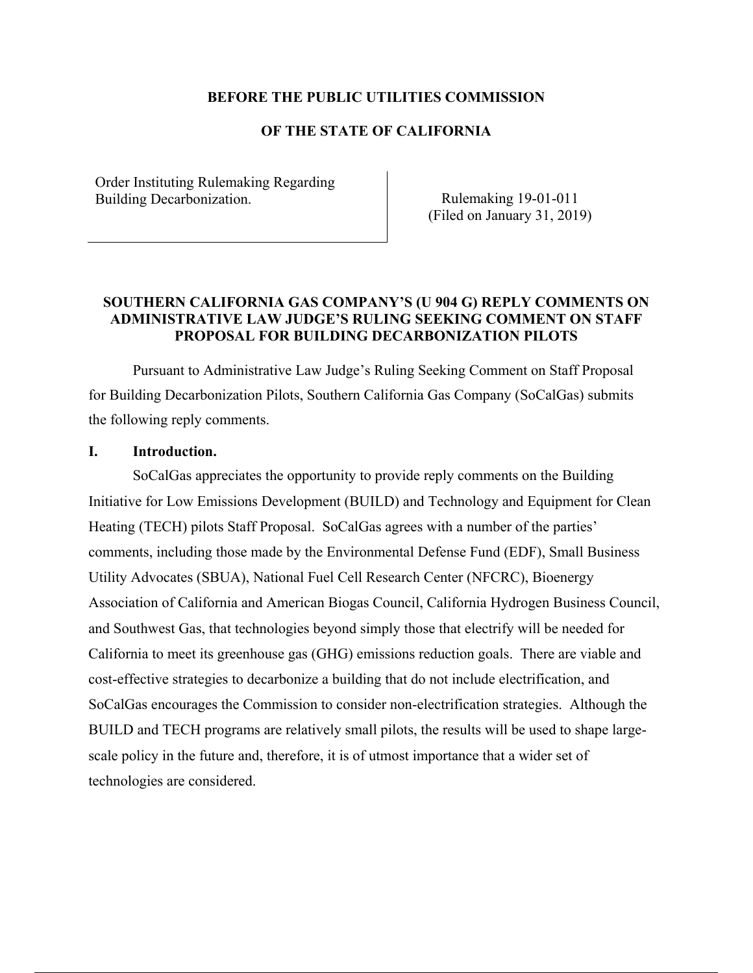### **BEFORE THE PUBLIC UTILITIES COMMISSION**

## **OF THE STATE OF CALIFORNIA**

Order Instituting Rulemaking Regarding Building Decarbonization. The Rulemaking 19-01-011

(Filed on January 31, 2019)

## **SOUTHERN CALIFORNIA GAS COMPANY'S (U 904 G) REPLY COMMENTS ON ADMINISTRATIVE LAW JUDGE'S RULING SEEKING COMMENT ON STAFF PROPOSAL FOR BUILDING DECARBONIZATION PILOTS**

Pursuant to Administrative Law Judge's Ruling Seeking Comment on Staff Proposal for Building Decarbonization Pilots, Southern California Gas Company (SoCalGas) submits the following reply comments.

#### **I. Introduction.**

SoCalGas appreciates the opportunity to provide reply comments on the Building Initiative for Low Emissions Development (BUILD) and Technology and Equipment for Clean Heating (TECH) pilots Staff Proposal. SoCalGas agrees with a number of the parties' comments, including those made by the Environmental Defense Fund (EDF), Small Business Utility Advocates (SBUA), National Fuel Cell Research Center (NFCRC), Bioenergy Association of California and American Biogas Council, California Hydrogen Business Council, and Southwest Gas, that technologies beyond simply those that electrify will be needed for California to meet its greenhouse gas (GHG) emissions reduction goals. There are viable and cost-effective strategies to decarbonize a building that do not include electrification, and SoCalGas encourages the Commission to consider non-electrification strategies. Although the BUILD and TECH programs are relatively small pilots, the results will be used to shape largescale policy in the future and, therefore, it is of utmost importance that a wider set of technologies are considered.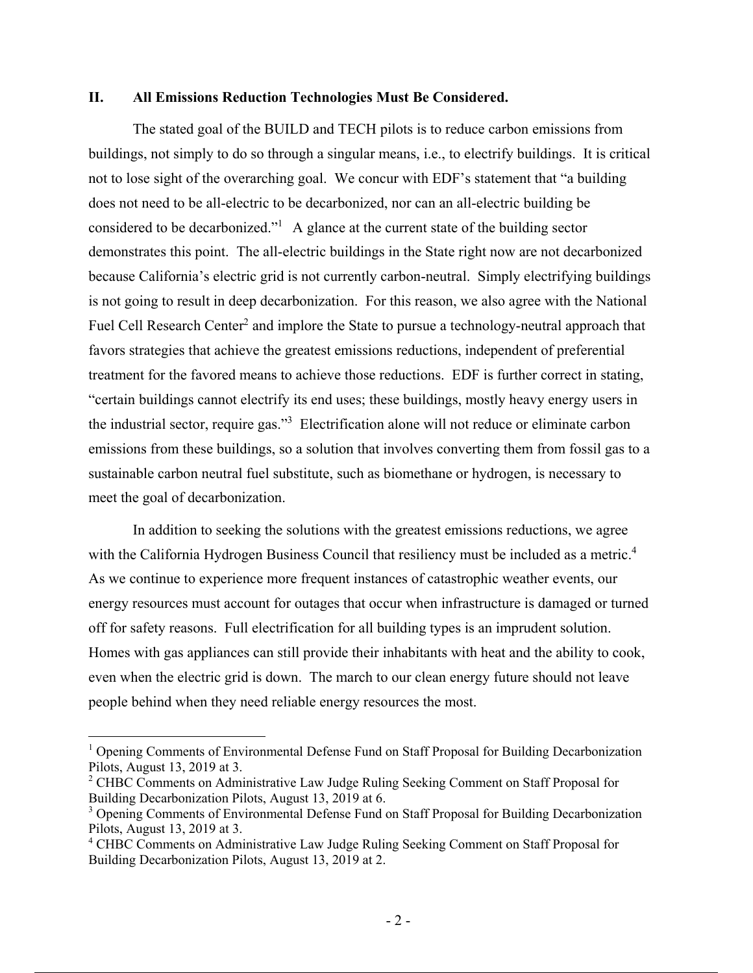#### **II. All Emissions Reduction Technologies Must Be Considered.**

The stated goal of the BUILD and TECH pilots is to reduce carbon emissions from buildings, not simply to do so through a singular means, i.e., to electrify buildings. It is critical not to lose sight of the overarching goal. We concur with EDF's statement that "a building does not need to be all-electric to be decarbonized, nor can an all-electric building be considered to be decarbonized."1 A glance at the current state of the building sector demonstrates this point. The all-electric buildings in the State right now are not decarbonized because California's electric grid is not currently carbon-neutral. Simply electrifying buildings is not going to result in deep decarbonization. For this reason, we also agree with the National Fuel Cell Research Center<sup>2</sup> and implore the State to pursue a technology-neutral approach that favors strategies that achieve the greatest emissions reductions, independent of preferential treatment for the favored means to achieve those reductions. EDF is further correct in stating, "certain buildings cannot electrify its end uses; these buildings, mostly heavy energy users in the industrial sector, require gas."<sup>3</sup> Electrification alone will not reduce or eliminate carbon emissions from these buildings, so a solution that involves converting them from fossil gas to a sustainable carbon neutral fuel substitute, such as biomethane or hydrogen, is necessary to meet the goal of decarbonization.

In addition to seeking the solutions with the greatest emissions reductions, we agree with the California Hydrogen Business Council that resiliency must be included as a metric.<sup>4</sup> As we continue to experience more frequent instances of catastrophic weather events, our energy resources must account for outages that occur when infrastructure is damaged or turned off for safety reasons. Full electrification for all building types is an imprudent solution. Homes with gas appliances can still provide their inhabitants with heat and the ability to cook, even when the electric grid is down. The march to our clean energy future should not leave people behind when they need reliable energy resources the most.

 $\overline{a}$ 

<sup>&</sup>lt;sup>1</sup> Opening Comments of Environmental Defense Fund on Staff Proposal for Building Decarbonization Pilots, August 13, 2019 at 3.

<sup>&</sup>lt;sup>2</sup> CHBC Comments on Administrative Law Judge Ruling Seeking Comment on Staff Proposal for Building Decarbonization Pilots, August 13, 2019 at 6.

<sup>&</sup>lt;sup>3</sup> Opening Comments of Environmental Defense Fund on Staff Proposal for Building Decarbonization Pilots, August 13, 2019 at 3.

<sup>&</sup>lt;sup>4</sup> CHBC Comments on Administrative Law Judge Ruling Seeking Comment on Staff Proposal for Building Decarbonization Pilots, August 13, 2019 at 2.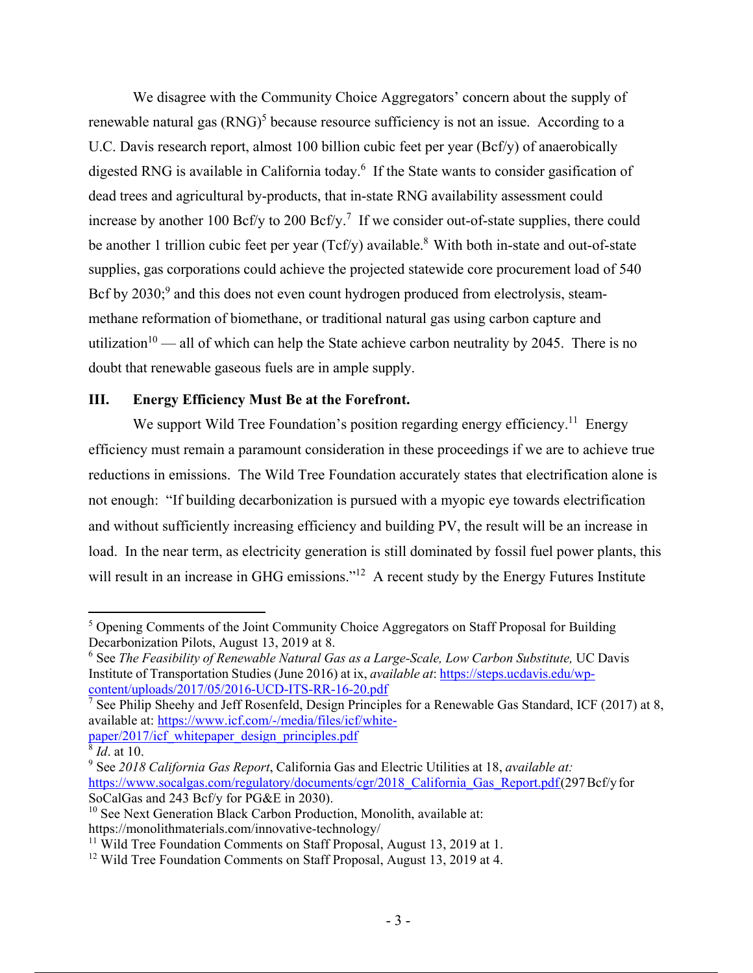We disagree with the Community Choice Aggregators' concern about the supply of renewable natural gas  $(RNG)^5$  because resource sufficiency is not an issue. According to a U.C. Davis research report, almost 100 billion cubic feet per year (Bcf/y) of anaerobically digested RNG is available in California today.<sup>6</sup> If the State wants to consider gasification of dead trees and agricultural by-products, that in-state RNG availability assessment could increase by another 100 Bcf/y to 200 Bcf/y.<sup>7</sup> If we consider out-of-state supplies, there could be another 1 trillion cubic feet per year ( $Tcf/y$ ) available.<sup>8</sup> With both in-state and out-of-state supplies, gas corporations could achieve the projected statewide core procurement load of 540 Bcf by  $2030$ ; and this does not even count hydrogen produced from electrolysis, steammethane reformation of biomethane, or traditional natural gas using carbon capture and utilization<sup>10</sup> — all of which can help the State achieve carbon neutrality by 2045. There is no doubt that renewable gaseous fuels are in ample supply.

## **III. Energy Efficiency Must Be at the Forefront.**

We support Wild Tree Foundation's position regarding energy efficiency.<sup>11</sup> Energy efficiency must remain a paramount consideration in these proceedings if we are to achieve true reductions in emissions. The Wild Tree Foundation accurately states that electrification alone is not enough: "If building decarbonization is pursued with a myopic eye towards electrification and without sufficiently increasing efficiency and building PV, the result will be an increase in load. In the near term, as electricity generation is still dominated by fossil fuel power plants, this will result in an increase in GHG emissions."<sup>12</sup> A recent study by the Energy Futures Institute

 $10$  See Next Generation Black Carbon Production, Monolith, available at: https://monolithmaterials.com/innovative-technology/

<sup>1</sup> <sup>5</sup> Opening Comments of the Joint Community Choice Aggregators on Staff Proposal for Building Decarbonization Pilots, August 13, 2019 at 8.

<sup>&</sup>lt;sup>6</sup> See *The Feasibility of Renewable Natural Gas as a Large-Scale, Low Carbon Substitute, UC Davis* Institute of Transportation Studies (June 2016) at ix, *available at*: https://steps.ucdavis.edu/wpcontent/uploads/2017/05/2016-UCD-ITS-RR-16-20.pdf

<sup>&</sup>lt;sup>7</sup> See Philip Sheehy and Jeff Rosenfeld, Design Principles for a Renewable Gas Standard, ICF (2017) at 8, available at: https://www.icf.com/-/media/files/icf/whitepaper/2017/icf\_whitepaper\_design\_principles.pdf

 $\frac{8}{3}$  *Id.* at 10.

<sup>9</sup> See *2018 California Gas Report*, California Gas and Electric Utilities at 18, *available at:* https://www.socalgas.com/regulatory/documents/cgr/2018 California Gas Report.pdf (297 Bcf/y for SoCalGas and 243 Bcf/y for PG&E in 2030).

<sup>&</sup>lt;sup>11</sup> Wild Tree Foundation Comments on Staff Proposal, August 13, 2019 at 1.

<sup>&</sup>lt;sup>12</sup> Wild Tree Foundation Comments on Staff Proposal, August 13, 2019 at 4.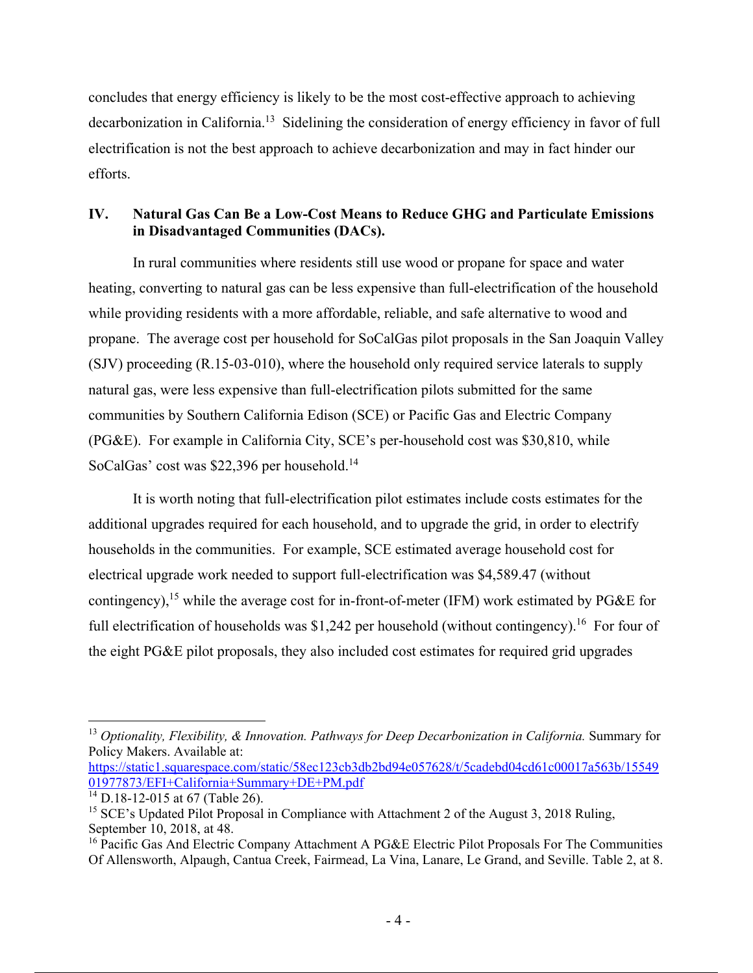concludes that energy efficiency is likely to be the most cost-effective approach to achieving decarbonization in California.13 Sidelining the consideration of energy efficiency in favor of full electrification is not the best approach to achieve decarbonization and may in fact hinder our efforts.

# **IV. Natural Gas Can Be a Low-Cost Means to Reduce GHG and Particulate Emissions in Disadvantaged Communities (DACs).**

In rural communities where residents still use wood or propane for space and water heating, converting to natural gas can be less expensive than full-electrification of the household while providing residents with a more affordable, reliable, and safe alternative to wood and propane. The average cost per household for SoCalGas pilot proposals in the San Joaquin Valley (SJV) proceeding (R.15-03-010), where the household only required service laterals to supply natural gas, were less expensive than full-electrification pilots submitted for the same communities by Southern California Edison (SCE) or Pacific Gas and Electric Company (PG&E). For example in California City, SCE's per-household cost was \$30,810, while SoCalGas' cost was \$22,396 per household.<sup>14</sup>

It is worth noting that full-electrification pilot estimates include costs estimates for the additional upgrades required for each household, and to upgrade the grid, in order to electrify households in the communities. For example, SCE estimated average household cost for electrical upgrade work needed to support full-electrification was \$4,589.47 (without contingency),<sup>15</sup> while the average cost for in-front-of-meter (IFM) work estimated by PG&E for full electrification of households was \$1,242 per household (without contingency).<sup>16</sup> For four of the eight PG&E pilot proposals, they also included cost estimates for required grid upgrades

<sup>&</sup>lt;u>.</u> <sup>13</sup> *Optionality, Flexibility, & Innovation. Pathways for Deep Decarbonization in California.* Summary for Policy Makers. Available at:

https://static1.squarespace.com/static/58ec123cb3db2bd94e057628/t/5cadebd04cd61c00017a563b/15549 01977873/EFI+California+Summary+DE+PM.pdf

 $\frac{14}{14}$ D.18-12-015 at 67 (Table 26).

<sup>&</sup>lt;sup>15</sup> SCE's Updated Pilot Proposal in Compliance with Attachment 2 of the August 3, 2018 Ruling, September 10, 2018, at 48.

<sup>&</sup>lt;sup>16</sup> Pacific Gas And Electric Company Attachment A PG&E Electric Pilot Proposals For The Communities Of Allensworth, Alpaugh, Cantua Creek, Fairmead, La Vina, Lanare, Le Grand, and Seville. Table 2, at 8.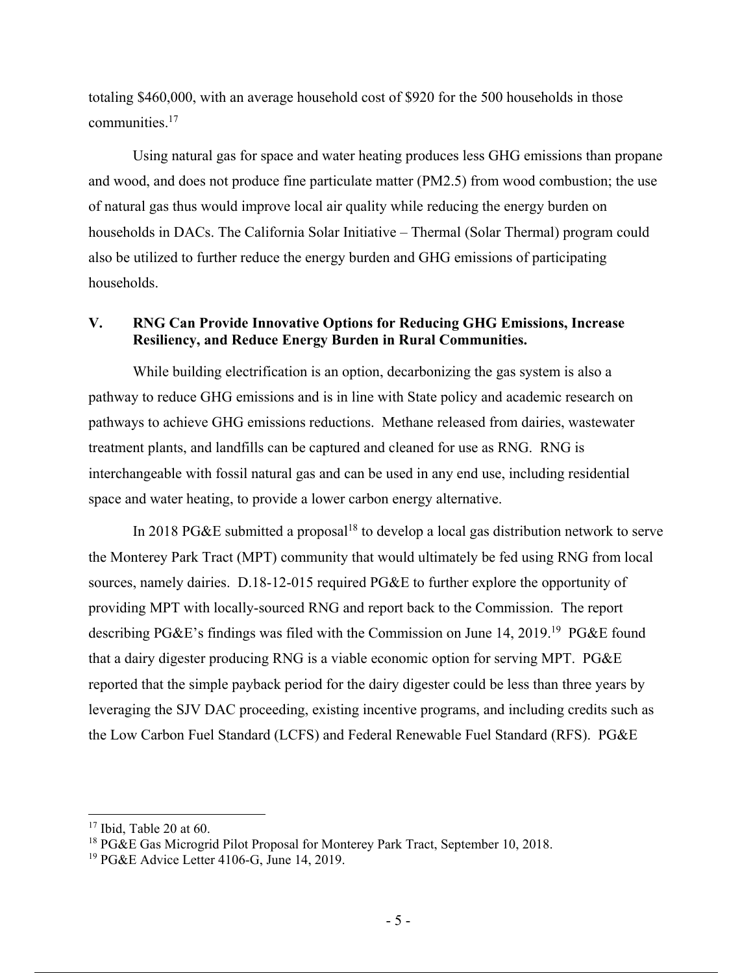totaling \$460,000, with an average household cost of \$920 for the 500 households in those communities.17

Using natural gas for space and water heating produces less GHG emissions than propane and wood, and does not produce fine particulate matter (PM2.5) from wood combustion; the use of natural gas thus would improve local air quality while reducing the energy burden on households in DACs. The California Solar Initiative – Thermal (Solar Thermal) program could also be utilized to further reduce the energy burden and GHG emissions of participating households.

## **V. RNG Can Provide Innovative Options for Reducing GHG Emissions, Increase Resiliency, and Reduce Energy Burden in Rural Communities.**

While building electrification is an option, decarbonizing the gas system is also a pathway to reduce GHG emissions and is in line with State policy and academic research on pathways to achieve GHG emissions reductions. Methane released from dairies, wastewater treatment plants, and landfills can be captured and cleaned for use as RNG. RNG is interchangeable with fossil natural gas and can be used in any end use, including residential space and water heating, to provide a lower carbon energy alternative.

In 2018 PG&E submitted a proposal<sup>18</sup> to develop a local gas distribution network to serve the Monterey Park Tract (MPT) community that would ultimately be fed using RNG from local sources, namely dairies. D.18-12-015 required PG&E to further explore the opportunity of providing MPT with locally-sourced RNG and report back to the Commission. The report describing PG&E's findings was filed with the Commission on June 14, 2019.19 PG&E found that a dairy digester producing RNG is a viable economic option for serving MPT. PG&E reported that the simple payback period for the dairy digester could be less than three years by leveraging the SJV DAC proceeding, existing incentive programs, and including credits such as the Low Carbon Fuel Standard (LCFS) and Federal Renewable Fuel Standard (RFS). PG&E

1

 $17$  Ibid, Table 20 at 60.

<sup>&</sup>lt;sup>18</sup> PG&E Gas Microgrid Pilot Proposal for Monterey Park Tract, September 10, 2018.

<sup>&</sup>lt;sup>19</sup> PG&E Advice Letter 4106-G, June 14, 2019.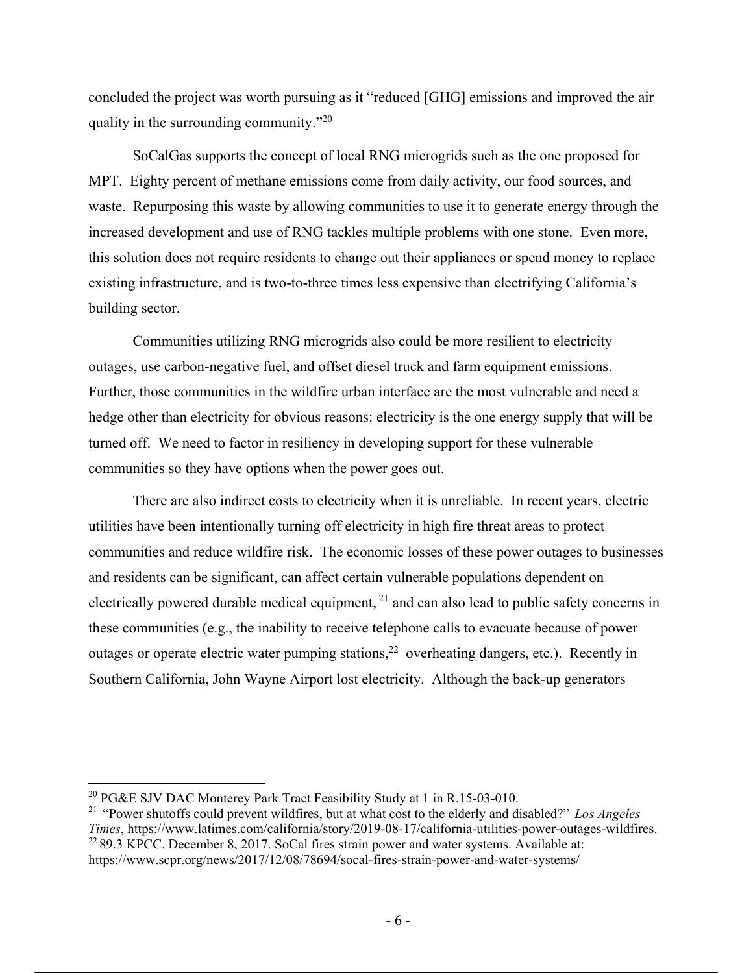concluded the project was worth pursuing as it "reduced [GHG] emissions and improved the air quality in the surrounding community."<sup>20</sup>

SoCalGas supports the concept of local RNG microgrids such as the one proposed for MPT. Eighty percent of methane emissions come from daily activity, our food sources, and waste. Repurposing this waste by allowing communities to use it to generate energy through the increased development and use of RNG tackles multiple problems with one stone. Even more, this solution does not require residents to change out their appliances or spend money to replace existing infrastructure, and is two-to-three times less expensive than electrifying California's building sector.

Communities utilizing RNG microgrids also could be more resilient to electricity outages, use carbon-negative fuel, and offset diesel truck and farm equipment emissions. Further, those communities in the wildfire urban interface are the most vulnerable and need a hedge other than electricity for obvious reasons: electricity is the one energy supply that will be turned off. We need to factor in resiliency in developing support for these vulnerable communities so they have options when the power goes out.

There are also indirect costs to electricity when it is unreliable. In recent years, electric utilities have been intentionally turning off electricity in high fire threat areas to protect communities and reduce wildfire risk. The economic losses of these power outages to businesses and residents can be significant, can affect certain vulnerable populations dependent on electrically powered durable medical equipment, <sup>21</sup> and can also lead to public safety concerns in these communities (e.g., the inability to receive telephone calls to evacuate because of power outages or operate electric water pumping stations,<sup>22</sup> overheating dangers, etc.). Recently in Southern California, John Wayne Airport lost electricity. Although the back-up generators

 $\overline{a}$ 

<sup>&</sup>lt;sup>20</sup> PG&E SJV DAC Monterey Park Tract Feasibility Study at 1 in R.15-03-010.

<sup>21</sup> "Power shutoffs could prevent wildfires, but at what cost to the elderly and disabled?" *Los Angeles Times*, https://www.latimes.com/california/story/2019-08-17/california-utilities-power-outages-wildfires.  $22$  89.3 KPCC. December 8, 2017. SoCal fires strain power and water systems. Available at: https://www.scpr.org/news/2017/12/08/78694/socal-fires-strain-power-and-water-systems/